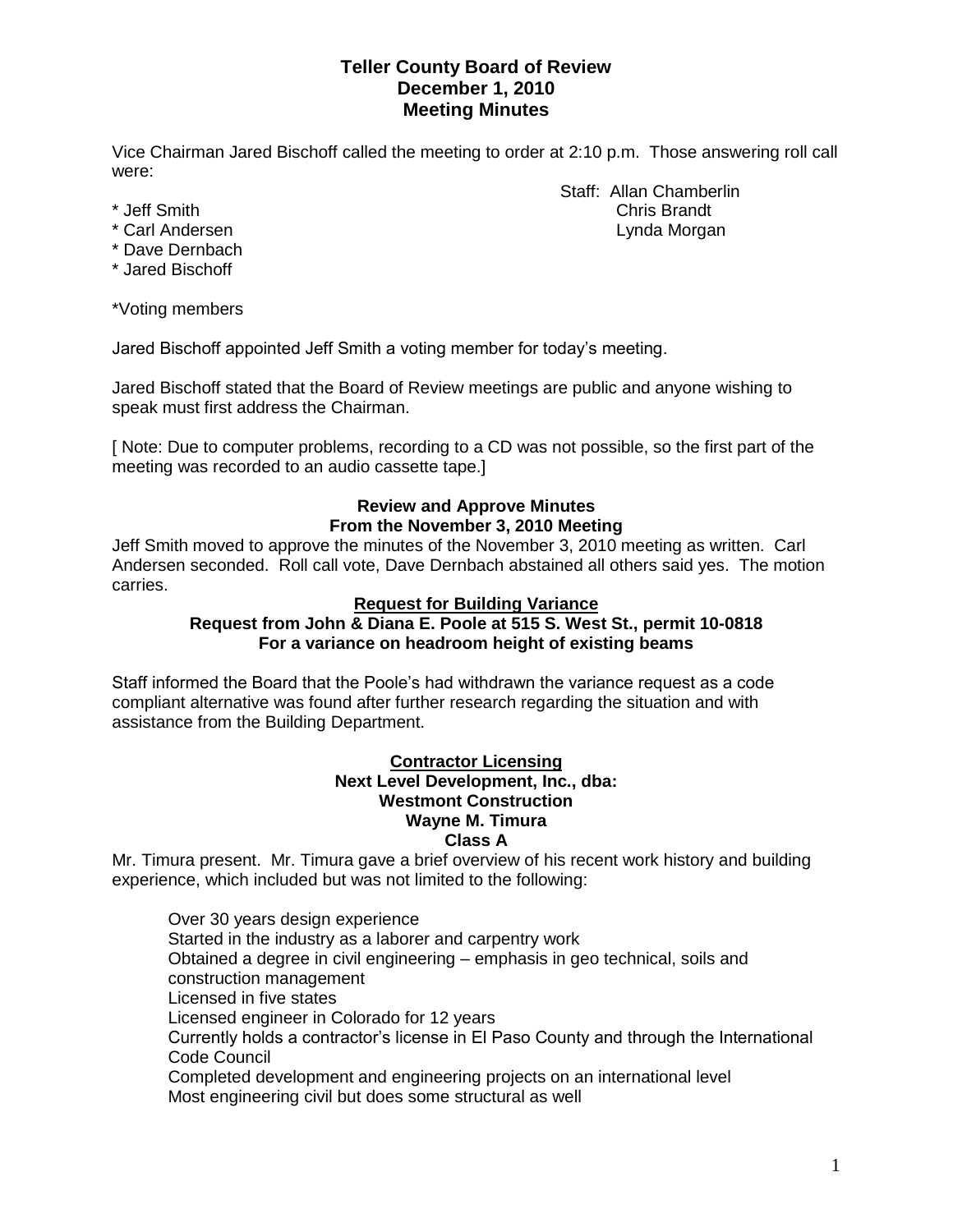# **Teller County Board of Review December 1, 2010 Meeting Minutes**

Vice Chairman Jared Bischoff called the meeting to order at 2:10 p.m. Those answering roll call were:

- 
- 
- \* Dave Dernbach
- \* Jared Bischoff

\*Voting members

Jared Bischoff appointed Jeff Smith a voting member for today's meeting.

Jared Bischoff stated that the Board of Review meetings are public and anyone wishing to speak must first address the Chairman.

[ Note: Due to computer problems, recording to a CD was not possible, so the first part of the meeting was recorded to an audio cassette tape.]

# **Review and Approve Minutes From the November 3, 2010 Meeting**

Jeff Smith moved to approve the minutes of the November 3, 2010 meeting as written. Carl Andersen seconded. Roll call vote, Dave Dernbach abstained all others said yes. The motion carries.

### **Request for Building Variance**

# **Request from John & Diana E. Poole at 515 S. West St., permit 10-0818 For a variance on headroom height of existing beams**

Staff informed the Board that the Poole's had withdrawn the variance request as a code compliant alternative was found after further research regarding the situation and with assistance from the Building Department.

#### **Contractor Licensing Next Level Development, Inc., dba: Westmont Construction Wayne M. Timura Class A**

Mr. Timura present. Mr. Timura gave a brief overview of his recent work history and building experience, which included but was not limited to the following:

Over 30 years design experience Started in the industry as a laborer and carpentry work Obtained a degree in civil engineering – emphasis in geo technical, soils and construction management Licensed in five states Licensed engineer in Colorado for 12 years Currently holds a contractor's license in El Paso County and through the International Code Council Completed development and engineering projects on an international level Most engineering civil but does some structural as well

Staff: Allan Chamberlin \* Jeff Smith Chris Brandt \* Carl Andersen **Lynda Morgan**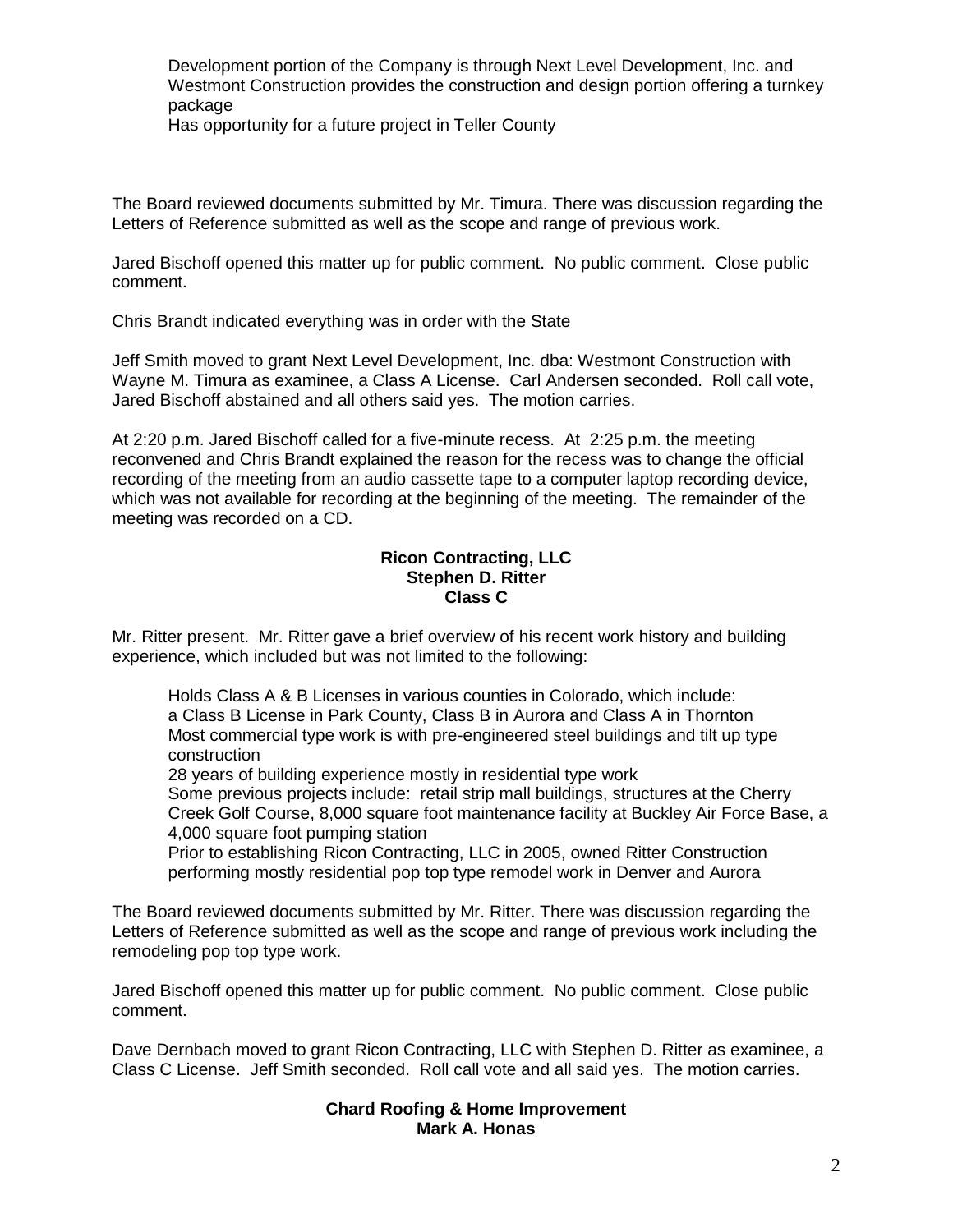Development portion of the Company is through Next Level Development, Inc. and Westmont Construction provides the construction and design portion offering a turnkey package

Has opportunity for a future project in Teller County

The Board reviewed documents submitted by Mr. Timura. There was discussion regarding the Letters of Reference submitted as well as the scope and range of previous work.

Jared Bischoff opened this matter up for public comment. No public comment. Close public comment.

Chris Brandt indicated everything was in order with the State

Jeff Smith moved to grant Next Level Development, Inc. dba: Westmont Construction with Wayne M. Timura as examinee, a Class A License. Carl Andersen seconded. Roll call vote, Jared Bischoff abstained and all others said yes. The motion carries.

At 2:20 p.m. Jared Bischoff called for a five-minute recess. At 2:25 p.m. the meeting reconvened and Chris Brandt explained the reason for the recess was to change the official recording of the meeting from an audio cassette tape to a computer laptop recording device, which was not available for recording at the beginning of the meeting. The remainder of the meeting was recorded on a CD.

### **Ricon Contracting, LLC Stephen D. Ritter Class C**

Mr. Ritter present. Mr. Ritter gave a brief overview of his recent work history and building experience, which included but was not limited to the following:

Holds Class A & B Licenses in various counties in Colorado, which include: a Class B License in Park County, Class B in Aurora and Class A in Thornton Most commercial type work is with pre-engineered steel buildings and tilt up type construction

28 years of building experience mostly in residential type work

Some previous projects include: retail strip mall buildings, structures at the Cherry Creek Golf Course, 8,000 square foot maintenance facility at Buckley Air Force Base, a 4,000 square foot pumping station

Prior to establishing Ricon Contracting, LLC in 2005, owned Ritter Construction performing mostly residential pop top type remodel work in Denver and Aurora

The Board reviewed documents submitted by Mr. Ritter. There was discussion regarding the Letters of Reference submitted as well as the scope and range of previous work including the remodeling pop top type work.

Jared Bischoff opened this matter up for public comment. No public comment. Close public comment.

Dave Dernbach moved to grant Ricon Contracting, LLC with Stephen D. Ritter as examinee, a Class C License. Jeff Smith seconded. Roll call vote and all said yes. The motion carries.

# **Chard Roofing & Home Improvement Mark A. Honas**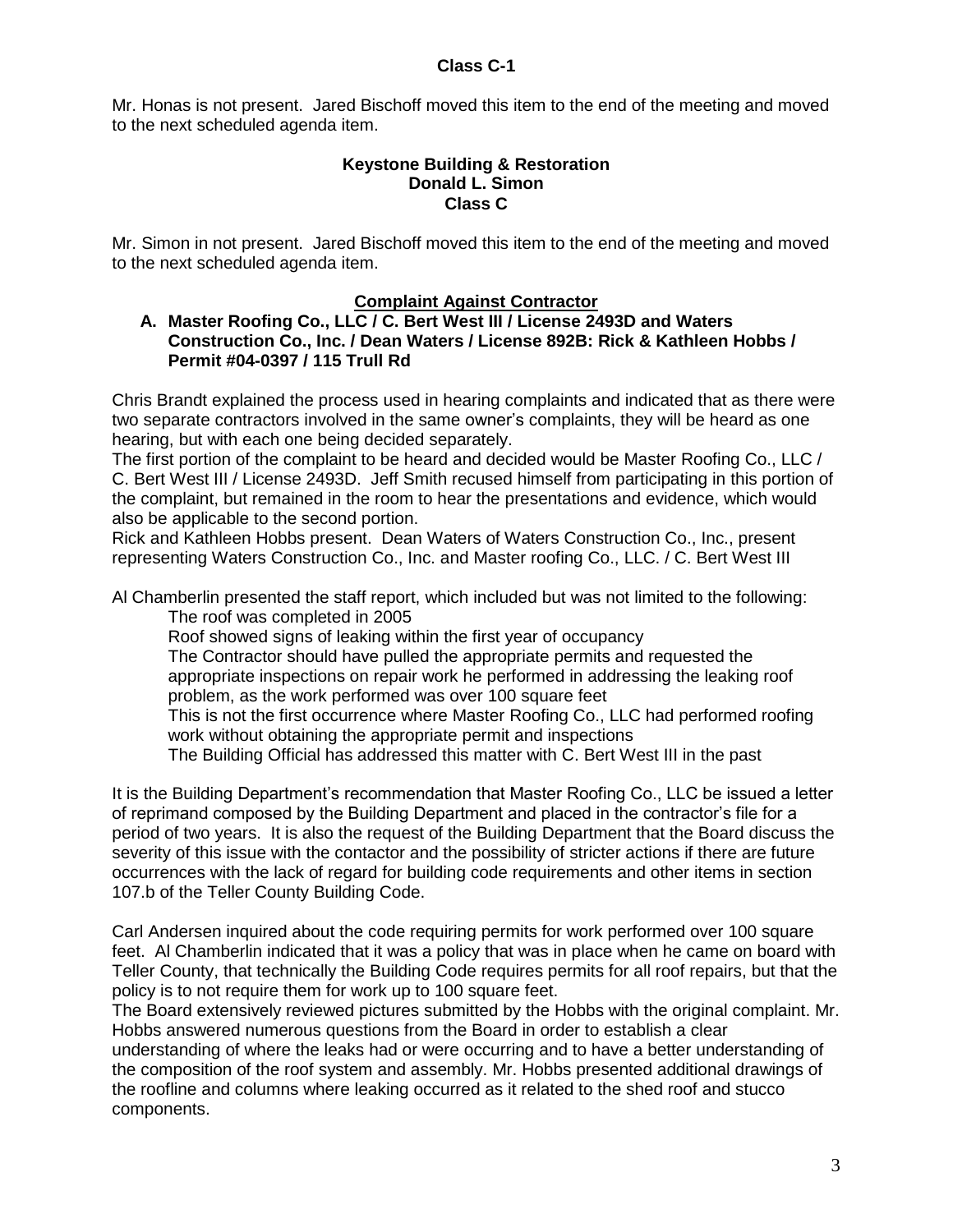# **Class C-1**

Mr. Honas is not present. Jared Bischoff moved this item to the end of the meeting and moved to the next scheduled agenda item.

#### **Keystone Building & Restoration Donald L. Simon Class C**

Mr. Simon in not present. Jared Bischoff moved this item to the end of the meeting and moved to the next scheduled agenda item.

# **Complaint Against Contractor**

#### **A. Master Roofing Co., LLC / C. Bert West III / License 2493D and Waters Construction Co., Inc. / Dean Waters / License 892B: Rick & Kathleen Hobbs / Permit #04-0397 / 115 Trull Rd**

Chris Brandt explained the process used in hearing complaints and indicated that as there were two separate contractors involved in the same owner's complaints, they will be heard as one hearing, but with each one being decided separately.

The first portion of the complaint to be heard and decided would be Master Roofing Co., LLC / C. Bert West III / License 2493D. Jeff Smith recused himself from participating in this portion of the complaint, but remained in the room to hear the presentations and evidence, which would also be applicable to the second portion.

Rick and Kathleen Hobbs present. Dean Waters of Waters Construction Co., Inc., present representing Waters Construction Co., Inc. and Master roofing Co., LLC. / C. Bert West III

Al Chamberlin presented the staff report, which included but was not limited to the following: The roof was completed in 2005

Roof showed signs of leaking within the first year of occupancy

The Contractor should have pulled the appropriate permits and requested the appropriate inspections on repair work he performed in addressing the leaking roof problem, as the work performed was over 100 square feet

This is not the first occurrence where Master Roofing Co., LLC had performed roofing work without obtaining the appropriate permit and inspections

The Building Official has addressed this matter with C. Bert West III in the past

It is the Building Department's recommendation that Master Roofing Co., LLC be issued a letter of reprimand composed by the Building Department and placed in the contractor's file for a period of two years. It is also the request of the Building Department that the Board discuss the severity of this issue with the contactor and the possibility of stricter actions if there are future occurrences with the lack of regard for building code requirements and other items in section 107.b of the Teller County Building Code.

Carl Andersen inquired about the code requiring permits for work performed over 100 square feet. Al Chamberlin indicated that it was a policy that was in place when he came on board with Teller County, that technically the Building Code requires permits for all roof repairs, but that the policy is to not require them for work up to 100 square feet.

The Board extensively reviewed pictures submitted by the Hobbs with the original complaint. Mr. Hobbs answered numerous questions from the Board in order to establish a clear understanding of where the leaks had or were occurring and to have a better understanding of the composition of the roof system and assembly. Mr. Hobbs presented additional drawings of the roofline and columns where leaking occurred as it related to the shed roof and stucco

components.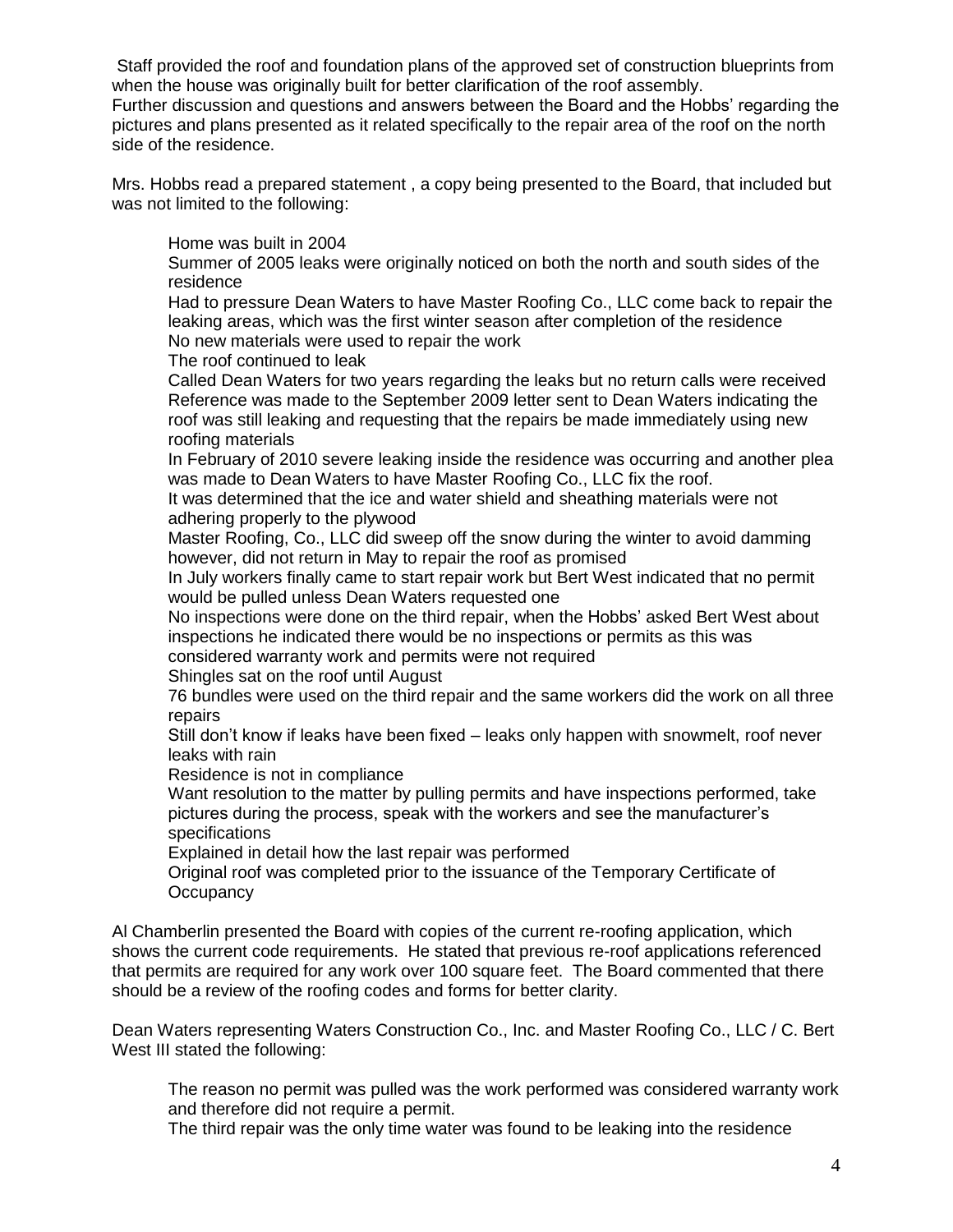Staff provided the roof and foundation plans of the approved set of construction blueprints from when the house was originally built for better clarification of the roof assembly. Further discussion and questions and answers between the Board and the Hobbs' regarding the pictures and plans presented as it related specifically to the repair area of the roof on the north side of the residence.

Mrs. Hobbs read a prepared statement , a copy being presented to the Board, that included but was not limited to the following:

Home was built in 2004

Summer of 2005 leaks were originally noticed on both the north and south sides of the residence

Had to pressure Dean Waters to have Master Roofing Co., LLC come back to repair the leaking areas, which was the first winter season after completion of the residence No new materials were used to repair the work

The roof continued to leak

Called Dean Waters for two years regarding the leaks but no return calls were received Reference was made to the September 2009 letter sent to Dean Waters indicating the roof was still leaking and requesting that the repairs be made immediately using new roofing materials

In February of 2010 severe leaking inside the residence was occurring and another plea was made to Dean Waters to have Master Roofing Co., LLC fix the roof.

It was determined that the ice and water shield and sheathing materials were not adhering properly to the plywood

Master Roofing, Co., LLC did sweep off the snow during the winter to avoid damming however, did not return in May to repair the roof as promised

In July workers finally came to start repair work but Bert West indicated that no permit would be pulled unless Dean Waters requested one

No inspections were done on the third repair, when the Hobbs' asked Bert West about inspections he indicated there would be no inspections or permits as this was considered warranty work and permits were not required

Shingles sat on the roof until August

76 bundles were used on the third repair and the same workers did the work on all three repairs

Still don't know if leaks have been fixed – leaks only happen with snowmelt, roof never leaks with rain

Residence is not in compliance

Want resolution to the matter by pulling permits and have inspections performed, take pictures during the process, speak with the workers and see the manufacturer's specifications

Explained in detail how the last repair was performed

Original roof was completed prior to the issuance of the Temporary Certificate of **Occupancy** 

Al Chamberlin presented the Board with copies of the current re-roofing application, which shows the current code requirements. He stated that previous re-roof applications referenced that permits are required for any work over 100 square feet. The Board commented that there should be a review of the roofing codes and forms for better clarity.

Dean Waters representing Waters Construction Co., Inc. and Master Roofing Co., LLC / C. Bert West III stated the following:

The reason no permit was pulled was the work performed was considered warranty work and therefore did not require a permit.

The third repair was the only time water was found to be leaking into the residence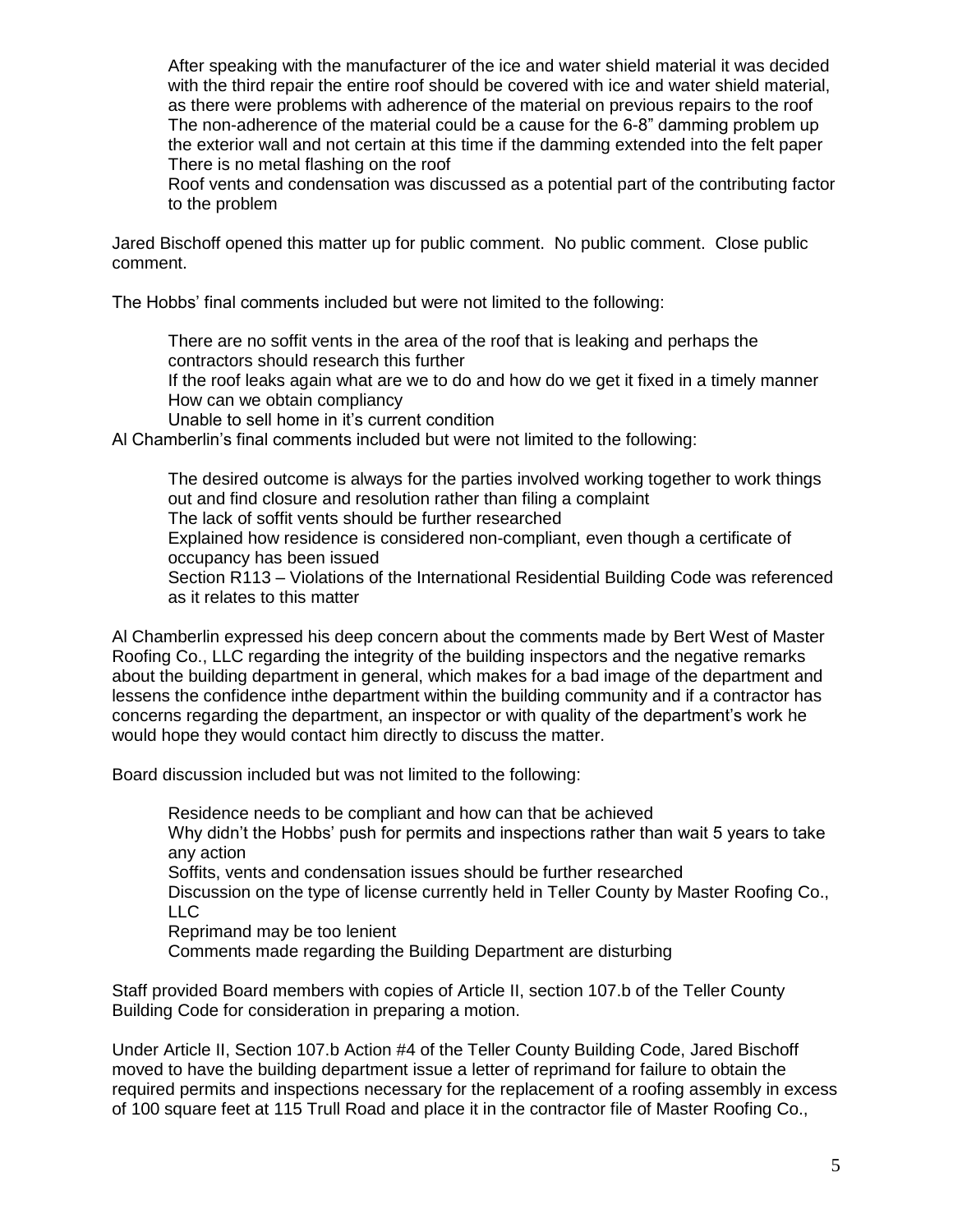After speaking with the manufacturer of the ice and water shield material it was decided with the third repair the entire roof should be covered with ice and water shield material, as there were problems with adherence of the material on previous repairs to the roof The non-adherence of the material could be a cause for the 6-8" damming problem up the exterior wall and not certain at this time if the damming extended into the felt paper There is no metal flashing on the roof

Roof vents and condensation was discussed as a potential part of the contributing factor to the problem

Jared Bischoff opened this matter up for public comment. No public comment. Close public comment.

The Hobbs' final comments included but were not limited to the following:

There are no soffit vents in the area of the roof that is leaking and perhaps the contractors should research this further

If the roof leaks again what are we to do and how do we get it fixed in a timely manner How can we obtain compliancy

Unable to sell home in it's current condition

Al Chamberlin's final comments included but were not limited to the following:

The desired outcome is always for the parties involved working together to work things out and find closure and resolution rather than filing a complaint The lack of soffit vents should be further researched Explained how residence is considered non-compliant, even though a certificate of occupancy has been issued Section R113 – Violations of the International Residential Building Code was referenced as it relates to this matter

Al Chamberlin expressed his deep concern about the comments made by Bert West of Master Roofing Co., LLC regarding the integrity of the building inspectors and the negative remarks about the building department in general, which makes for a bad image of the department and lessens the confidence inthe department within the building community and if a contractor has concerns regarding the department, an inspector or with quality of the department's work he would hope they would contact him directly to discuss the matter.

Board discussion included but was not limited to the following:

Residence needs to be compliant and how can that be achieved Why didn't the Hobbs' push for permits and inspections rather than wait 5 years to take any action

Soffits, vents and condensation issues should be further researched

Discussion on the type of license currently held in Teller County by Master Roofing Co., LLC

Reprimand may be too lenient

Comments made regarding the Building Department are disturbing

Staff provided Board members with copies of Article II, section 107.b of the Teller County Building Code for consideration in preparing a motion.

Under Article II, Section 107.b Action #4 of the Teller County Building Code, Jared Bischoff moved to have the building department issue a letter of reprimand for failure to obtain the required permits and inspections necessary for the replacement of a roofing assembly in excess of 100 square feet at 115 Trull Road and place it in the contractor file of Master Roofing Co.,